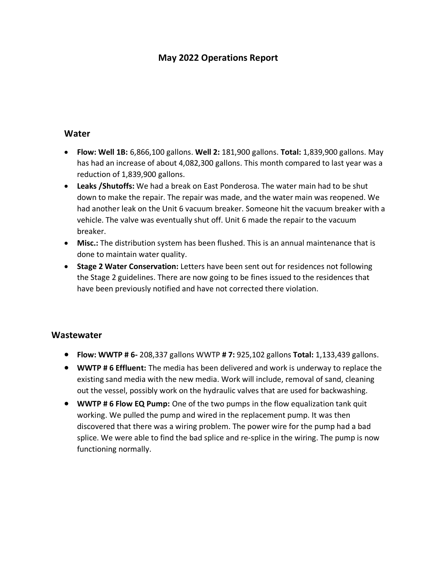## **May 2022 Operations Report**

## **Water**

- **Flow: Well 1B:** 6,866,100 gallons. **Well 2:** 181,900 gallons. **Total:** 1,839,900 gallons. May has had an increase of about 4,082,300 gallons. This month compared to last year was a reduction of 1,839,900 gallons.
- **Leaks /Shutoffs:** We had a break on East Ponderosa. The water main had to be shut down to make the repair. The repair was made, and the water main was reopened. We had another leak on the Unit 6 vacuum breaker. Someone hit the vacuum breaker with a vehicle. The valve was eventually shut off. Unit 6 made the repair to the vacuum breaker.
- **Misc.:** The distribution system has been flushed. This is an annual maintenance that is done to maintain water quality.
- **Stage 2 Water Conservation:** Letters have been sent out for residences not following the Stage 2 guidelines. There are now going to be fines issued to the residences that have been previously notified and have not corrected there violation.

## **Wastewater**

- **Flow: WWTP # 6-** 208,337 gallons WWTP **# 7:** 925,102 gallons **Total:** 1,133,439 gallons.
- **WWTP # 6 Effluent:** The media has been delivered and work is underway to replace the existing sand media with the new media. Work will include, removal of sand, cleaning out the vessel, possibly work on the hydraulic valves that are used for backwashing.
- **WWTP # 6 Flow EQ Pump:** One of the two pumps in the flow equalization tank quit working. We pulled the pump and wired in the replacement pump. It was then discovered that there was a wiring problem. The power wire for the pump had a bad splice. We were able to find the bad splice and re-splice in the wiring. The pump is now functioning normally.